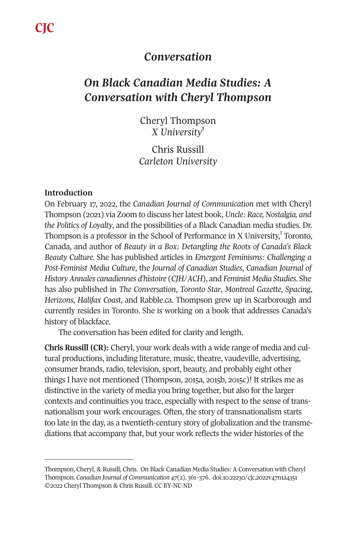**CJC**

# *Conversation*

# *On Black Canadian Media Studies: A Conversation with Cheryl Thompson*

Cheryl Thompson *X University1* 

Chris Russill *Carleton University* 

## **Introduction**

On February 17, 2022, the *Canadian Journal of Communication* met with Cheryl Thompson (2021) via Zoom to discuss her latest book, *Uncle: Race, Nostalgia, and the Politics of Loyalty*, and the possibilities of a Black Canadian media studies. Dr. Thompson is a professor in the School of Performance in X University,<sup>1</sup> Toronto, Canada, and author of *Beauty in a Box: Detangling the Roots of Canada's Black Beauty Culture*. She has published articles in *Emergent Feminisms: Challenging a Post-Feminist Media Culture*, the *Journal of Canadian Studies*, *Canadian Journal of History Annales canadiennes d'histoire* (*CJH*/*ACH*), and *Feminist Media Studies*. She has also published in *The Conversation*, *Toronto Star*, *Montreal Gazette*, *Spacing*, *Herizons*, *Halifax Coast*, and Rabble.ca. Thompson grew up in Scarborough and currently resides in Toronto. She is working on a book that addresses Canada's history of blackface.

The conversation has been edited for clarity and length.

**Chris Russill (CR):** Cheryl, your work deals with a wide range of media and cultural productions, including literature, music, theatre[, vaudeville, advertising](https://doi.org/10.22230/cjc.2022v47n1a4351), consumer brands, radio, television, sport, beauty, and probably eight other things I have not mentioned (Thompson, 2015a, 2015b, 2015c)! It strikes me as distinctive in the variety of media you bring together, but also for the larger contexts and continuities you trace, especially with respect to the sense of transnationalism your work encourages. Often, the story of transnationalism starts too late in the day, as a twentieth-century story of globalization and the transmediations that accompany that, but your work reflects the wider histories of the

Thompson, Cheryl, & Russill, Chris. On Black Canadian Media Studies: A Conversation with Cheryl Thompson. *Canadian Journal of Communication 47*(2), 361–376. doi:10.22230/cjc.2022v47n1a4351 ©2022 Cheryl Thompson & Chris Russill. CC BY-NC-ND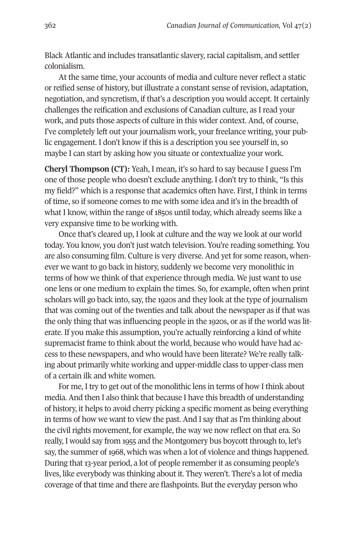Black Atlantic and includes transatlantic slavery, racial capitalism, and settler colonialism.

At the same time, your accounts of media and culture never reflect a static or reified sense of history, but illustrate a constant sense of revision, adaptation, negotiation, and syncretism, if that's a description you would accept. It certainly challenges the reification and exclusions of Canadian culture, as I read your work, and puts those aspects of culture in this wider context. And, of course, I've completely left out your journalism work, your freelance writing, your public engagement. I don't know if this is a description you see yourself in, so maybe I can start by asking how you situate or contextualize your work.

**Cheryl Thompson (CT):** Yeah, I mean, it's so hard to say because I guess I'm one of those people who doesn't exclude anything. I don't try to think, "Is this my field?" which is a response that academics often have. First, I think in terms of time, so if someone comes to me with some idea and it's in the breadth of what I know, within the range of 1850s until today, which already seems like a very expansive time to be working with.

Once that's cleared up, I look at culture and the way we look at our world today. You know, you don't just watch television. You're reading something. You are also consuming film. Culture is very diverse. And yet for some reason, whenever we want to go back in history, suddenly we become very monolithic in terms of how we think of that experience through media. We just want to use one lens or one medium to explain the times. So, for example, often when print scholars will go back into, say, the 1920s and they look at the type of journalism that was coming out of the twenties and talk about the newspaper as if that was the only thing that was influencing people in the 1920s, or as if the world was literate. If you make this assumption, you're actually reinforcing a kind of white supremacist frame to think about the world, because who would have had access to these newspapers, and who would have been literate? We're really talking about primarily white working and upper-middle class to upper-class men of a certain ilk and white women.

For me, I try to get out of the monolithic lens in terms of how I think about media. And then I also think that because I have this breadth of understanding of history, it helps to avoid cherry picking a specific moment as being everything in terms of how we want to view the past. And I say that as I'm thinking about the civil rights movement, for example, the way we now reflect on that era. So really, I would say from 1955 and the Montgomery bus boycott through to, let's say, the summer of 1968, which was when a lot of violence and things happened. During that 13-year period, a lot of people remember it as consuming people's lives, like everybody was thinking about it. They weren't. There's a lot of media coverage of that time and there are flashpoints. But the everyday person who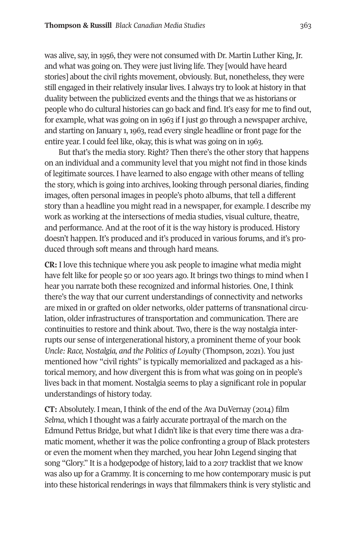was alive, say, in 1956, they were not consumed with Dr. Martin Luther King, Jr. and what was going on. They were just living life. They [would have heard stories] about the civil rights movement, obviously. But, nonetheless, they were still engaged in their relatively insular lives. I always try to look at history in that duality between the publicized events and the things that we as historians or people who do cultural histories can go back and find. It's easy for me to find out, for example, what was going on in 1963 if I just go through a newspaper archive, and starting on January 1, 1963, read every single headline or front page for the entire year. I could feel like, okay, this is what was going on in 1963.

But that's the media story. Right? Then there's the other story that happens on an individual and a community level that you might not find in those kinds of legitimate sources. I have learned to also engage with other means of telling the story, which is going into archives, looking through personal diaries, finding images, often personal images in people's photo albums, that tell a different story than a headline you might read in a newspaper, for example. I describe my work as working at the intersections of media studies, visual culture, theatre, and performance. And at the root of it is the way history is produced. History doesn't happen. It's produced and it's produced in various forums, and it's produced through soft means and through hard means.

**CR:** I love this technique where you ask people to imagine what media might have felt like for people 50 or 100 years ago. It brings two things to mind when I hear you narrate both these recognized and informal histories. One, I think there's the way that our current understandings of connectivity and networks are mixed in or grafted on older networks, older patterns of transnational circulation, older infrastructures of transportation and communication. There are continuities to restore and think about. Two, there is the way nostalgia interrupts our sense of intergenerational history, a prominent theme of your book *Uncle: Race, Nostalgia, and the Politics of Loyalty* (Thompson, 2021). You just mentioned how "civil rights" is typically memorialized and packaged as a historical memory, and how divergent this is from what was going on in people's lives back in that moment. Nostalgia seems to play a significant role in popular understandings of history today.

**CT:** Absolutely. I mean, I think of the end of the Ava DuVernay (2014) film *Selma*, which I thought was a fairly accurate portrayal of the march on the Edmund Pettus Bridge, but what I didn't like is that every time there was a dramatic moment, whether it was the police confronting a group of Black protesters or even the moment when they marched, you hear John Legend singing that song "Glory." It is a hodgepodge of history, laid to a 2017 tracklist that we know was also up for a Grammy. It is concerning to me how contemporary music is put into these historical renderings in ways that filmmakers think is very stylistic and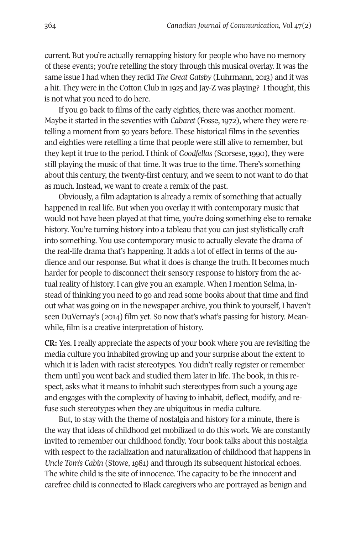current. But you're actually remapping history for people who have no memory of these events; you're retelling the story through this musical overlay. It was the same issue I had when they redid *The Great Gatsby* (Luhrmann, 2013) and it was a hit. They were in the Cotton Club in 1925 and Jay-Z was playing? I thought, this is not what you need to do here.

If you go back to films of the early eighties, there was another moment. Maybe it started in the seventies with *Cabaret* (Fosse, 1972), where they were retelling a moment from 50 years before. These historical films in the seventies and eighties were retelling a time that people were still alive to remember, but they kept it true to the period. I think of *Goodfellas* (Scorsese, 1990), they were still playing the music of that time. It was true to the time. There's something about this century, the twenty-first century, and we seem to not want to do that as much. Instead, we want to create a remix of the past.

Obviously, a film adaptation is already a remix of something that actually happened in real life. But when you overlay it with contemporary music that would not have been played at that time, you're doing something else to remake history. You're turning history into a tableau that you can just stylistically craft into something. You use contemporary music to actually elevate the drama of the real-life drama that's happening. It adds a lot of effect in terms of the audience and our response. But what it does is change the truth. It becomes much harder for people to disconnect their sensory response to history from the actual reality of history. I can give you an example. When I mention Selma, instead of thinking you need to go and read some books about that time and find out what was going on in the newspaper archive, you think to yourself, I haven't seen DuVernay's (2014) film yet. So now that's what's passing for history. Meanwhile, film is a creative interpretation of history.

**CR:** Yes. I really appreciate the aspects of your book where you are revisiting the media culture you inhabited growing up and your surprise about the extent to which it is laden with racist stereotypes. You didn't really register or remember them until you went back and studied them later in life. The book, in this respect, asks what it means to inhabit such stereotypes from such a young age and engages with the complexity of having to inhabit, deflect, modify, and refuse such stereotypes when they are ubiquitous in media culture.

But, to stay with the theme of nostalgia and history for a minute, there is the way that ideas of childhood get mobilized to do this work. We are constantly invited to remember our childhood fondly. Your book talks about this nostalgia with respect to the racialization and naturalization of childhood that happens in *Uncle Tom's Cabin* (Stowe, 1981) and through its subsequent historical echoes. The white child is the site of innocence. The capacity to be the innocent and carefree child is connected to Black caregivers who are portrayed as benign and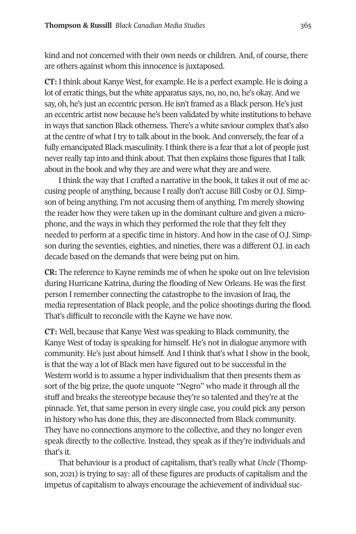kind and not concerned with their own needs or children. And, of course, there are others against whom this innocence is juxtaposed.

**CT:** I think about Kanye West, for example. He is a perfect example. He is doing a lot of erratic things, but the white apparatus says, no, no, no, he's okay. And we say, oh, he's just an eccentric person. He isn't framed as a Black person. He's just an eccentric artist now because he's been validated by white institutions to behave in ways that sanction Black otherness. There's a white saviour complex that's also at the centre of what I try to talk about in the book. And conversely, the fear of a fully emancipated Black masculinity. I think there is a fear that a lot of people just never really tap into and think about. That then explains those figures that I talk about in the book and why they are and were what they are and were.

I think the way that I crafted a narrative in the book, it takes it out of me accusing people of anything, because I really don't accuse Bill Cosby or O.J. Simpson of being anything. I'm not accusing them of anything. I'm merely showing the reader how they were taken up in the dominant culture and given a microphone, and the ways in which they performed the role that they felt they needed to perform at a specific time in history. And how in the case of O.J. Simpson during the seventies, eighties, and nineties, there was a different O.J. in each decade based on the demands that were being put on him.

**CR:** The reference to Kayne reminds me of when he spoke out on live television during Hurricane Katrina, during the flooding of New Orleans. He was the first person I remember connecting the catastrophe to the invasion of Iraq, the media representation of Black people, and the police shootings during the flood. That's difficult to reconcile with the Kayne we have now.

**CT:** Well, because that Kanye West was speaking to Black community, the Kanye West of today is speaking for himself. He's not in dialogue anymore with community. He's just about himself. And I think that's what I show in the book, is that the way a lot of Black men have figured out to be successful in the Western world is to assume a hyper individualism that then presents them as sort of the big prize, the quote unquote "Negro" who made it through all the stuff and breaks the stereotype because they're so talented and they're at the pinnacle. Yet, that same person in every single case, you could pick any person in history who has done this, they are disconnected from Black community. They have no connections anymore to the collective, and they no longer even speak directly to the collective. Instead, they speak as if they're individuals and that's it.

That behaviour is a product of capitalism, that's really what *Uncle* (Thompson, 2021) is trying to say: all of these figures are products of capitalism and the impetus of capitalism to always encourage the achievement of individual suc-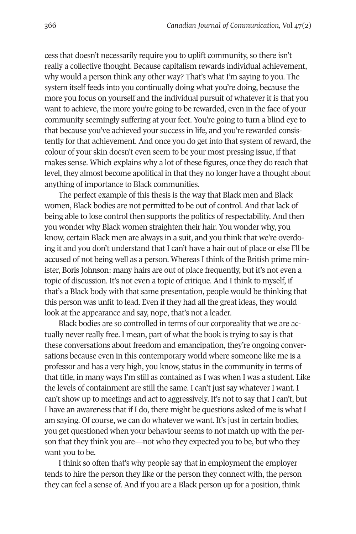cess that doesn't necessarily require you to uplift community, so there isn't really a collective thought. Because capitalism rewards individual achievement, why would a person think any other way? That's what I'm saying to you. The system itself feeds into you continually doing what you're doing, because the more you focus on yourself and the individual pursuit of whatever it is that you want to achieve, the more you're going to be rewarded, even in the face of your community seemingly suffering at your feet. You're going to turn a blind eye to that because you've achieved your success in life, and you're rewarded consistently for that achievement. And once you do get into that system of reward, the colour of your skin doesn't even seem to be your most pressing issue, if that makes sense. Which explains why a lot of these figures, once they do reach that level, they almost become apolitical in that they no longer have a thought about anything of importance to Black communities.

The perfect example of this thesis is the way that Black men and Black women, Black bodies are not permitted to be out of control. And that lack of being able to lose control then supports the politics of respectability. And then you wonder why Black women straighten their hair. You wonder why, you know, certain Black men are always in a suit, and you think that we're overdoing it and you don't understand that I can't have a hair out of place or else I'll be accused of not being well as a person. Whereas I think of the British prime minister, Boris Johnson: many hairs are out of place frequently, but it's not even a topic of discussion. It's not even a topic of critique. And I think to myself, if that's a Black body with that same presentation, people would be thinking that this person was unfit to lead. Even if they had all the great ideas, they would look at the appearance and say, nope, that's not a leader.

Black bodies are so controlled in terms of our corporeality that we are actually never really free. I mean, part of what the book is trying to say is that these conversations about freedom and emancipation, they're ongoing conversations because even in this contemporary world where someone like me is a professor and has a very high, you know, status in the community in terms of that title, in many ways I'm still as contained as I was when I was a student. Like the levels of containment are still the same. I can't just say whatever I want. I can't show up to meetings and act to aggressively. It's not to say that I can't, but I have an awareness that if I do, there might be questions asked of me is what I am saying. Of course, we can do whatever we want. It's just in certain bodies, you get questioned when your behaviour seems to not match up with the person that they think you are—not who they expected you to be, but who they want you to be.

I think so often that's why people say that in employment the employer tends to hire the person they like or the person they connect with, the person they can feel a sense of. And if you are a Black person up for a position, think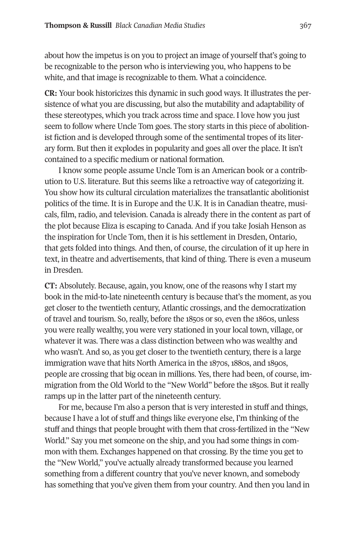about how the impetus is on you to project an image of yourself that's going to be recognizable to the person who is interviewing you, who happens to be white, and that image is recognizable to them. What a coincidence.

**CR:** Your book historicizes this dynamic in such good ways. It illustrates the persistence of what you are discussing, but also the mutability and adaptability of these stereotypes, which you track across time and space. I love how you just seem to follow where Uncle Tom goes. The story starts in this piece of abolitionist fiction and is developed through some of the sentimental tropes of its literary form. But then it explodes in popularity and goes all over the place. It isn't contained to a specific medium or national formation.

I know some people assume Uncle Tom is an American book or a contribution to U.S. literature. But this seems like a retroactive way of categorizing it. You show how its cultural circulation materializes the transatlantic abolitionist politics of the time. It is in Europe and the U.K. It is in Canadian theatre, musicals, film, radio, and television. Canada is already there in the content as part of the plot because Eliza is escaping to Canada. And if you take Josiah Henson as the inspiration for Uncle Tom, then it is his settlement in Dresden, Ontario, that gets folded into things. And then, of course, the circulation of it up here in text, in theatre and advertisements, that kind of thing. There is even a museum in Dresden.

**CT:** Absolutely. Because, again, you know, one of the reasons why I start my book in the mid-to-late nineteenth century is because that's the moment, as you get closer to the twentieth century, Atlantic crossings, and the democratization of travel and tourism. So, really, before the 1850s or so, even the 1860s, unless you were really wealthy, you were very stationed in your local town, village, or whatever it was. There was a class distinction between who was wealthy and who wasn't. And so, as you get closer to the twentieth century, there is a large immigration wave that hits North America in the 1870s, 1880s, and 1890s, people are crossing that big ocean in millions. Yes, there had been, of course, immigration from the Old World to the "New World" before the 1850s. But it really ramps up in the latter part of the nineteenth century.

For me, because I'm also a person that is very interested in stuff and things, because I have a lot of stuff and things like everyone else, I'm thinking of the stuff and things that people brought with them that cross-fertilized in the "New World." Say you met someone on the ship, and you had some things in common with them. Exchanges happened on that crossing. By the time you get to the "New World," you've actually already transformed because you learned something from a different country that you've never known, and somebody has something that you've given them from your country. And then you land in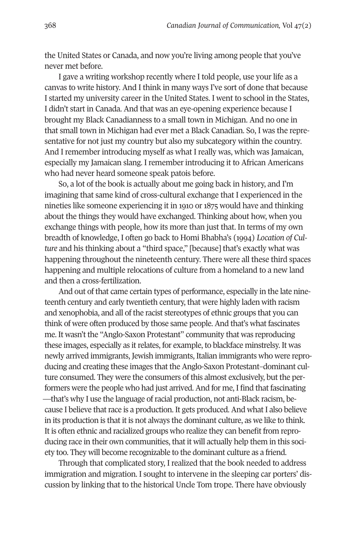the United States or Canada, and now you're living among people that you've never met before.

I gave a writing workshop recently where I told people, use your life as a canvas to write history. And I think in many ways I've sort of done that because I started my university career in the United States. I went to school in the States, I didn't start in Canada. And that was an eye-opening experience because I brought my Black Canadianness to a small town in Michigan. And no one in that small town in Michigan had ever met a Black Canadian. So, I was the representative for not just my country but also my subcategory within the country. And I remember introducing myself as what I really was, which was Jamaican, especially my Jamaican slang. I remember introducing it to African Americans who had never heard someone speak patois before.

So, a lot of the book is actually about me going back in history, and I'm imagining that same kind of cross-cultural exchange that I experienced in the nineties like someone experiencing it in 1910 or 1875 would have and thinking about the things they would have exchanged. Thinking about how, when you exchange things with people, how its more than just that. In terms of my own breadth of knowledge, I often go back to Homi Bhabha's (1994) *Location of Culture* and his thinking about a "third space," [because] that's exactly what was happening throughout the nineteenth century. There were all these third spaces happening and multiple relocations of culture from a homeland to a new land and then a cross-fertilization.

And out of that came certain types of performance, especially in the late nineteenth century and early twentieth century, that were highly laden with racism and xenophobia, and all of the racist stereotypes of ethnic groups that you can think of were often produced by those same people. And that's what fascinates me. It wasn't the "Anglo-Saxon Protestant" community that was reproducing these images, especially as it relates, for example, to blackface minstrelsy. It was newly arrived immigrants, Jewish immigrants, Italian immigrants who were reproducing and creating these images that the Anglo-Saxon Protestant–dominant culture consumed. They were the consumers of this almost exclusively, but the performers were the people who had just arrived. And for me, I find that fascinating —that's why I use the language of racial production, not anti-Black racism, because I believe that race is a production. It gets produced. And what I also believe in its production is that it is not always the dominant culture, as we like to think. It is often ethnic and racialized groups who realize they can benefit from reproducing race in their own communities, that it will actually help them in this society too. They will become recognizable to the dominant culture as a friend.

Through that complicated story, I realized that the book needed to address immigration and migration. I sought to intervene in the sleeping car porters' discussion by linking that to the historical Uncle Tom trope. There have obviously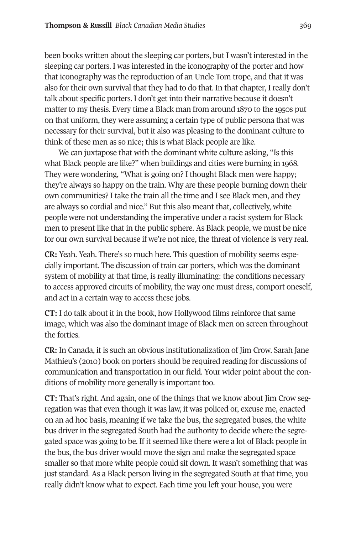been books written about the sleeping car porters, but I wasn't interested in the sleeping car porters. I was interested in the iconography of the porter and how that iconography was the reproduction of an Uncle Tom trope, and that it was also for their own survival that they had to do that. In that chapter, I really don't talk about specific porters. I don't get into their narrative because it doesn't matter to my thesis. Every time a Black man from around 1870 to the 1950s put on that uniform, they were assuming a certain type of public persona that was necessary for their survival, but it also was pleasing to the dominant culture to think of these men as so nice; this is what Black people are like.

We can juxtapose that with the dominant white culture asking, "Is this what Black people are like?" when buildings and cities were burning in 1968. They were wondering, "What is going on? I thought Black men were happy; they're always so happy on the train. Why are these people burning down their own communities? I take the train all the time and I see Black men, and they are always so cordial and nice." But this also meant that, collectively, white people were not understanding the imperative under a racist system for Black men to present like that in the public sphere. As Black people, we must be nice for our own survival because if we're not nice, the threat of violence is very real.

**CR:** Yeah. Yeah. There's so much here. This question of mobility seems especially important. The discussion of train car porters, which was the dominant system of mobility at that time, is really illuminating: the conditions necessary to access approved circuits of mobility, the way one must dress, comport oneself, and act in a certain way to access these jobs.

**CT:** I do talk about it in the book, how Hollywood films reinforce that same image, which was also the dominant image of Black men on screen throughout the forties.

**CR:** In Canada, it is such an obvious institutionalization of Jim Crow. Sarah Jane Mathieu's (2010) book on porters should be required reading for discussions of communication and transportation in our field. Your wider point about the conditions of mobility more generally is important too.

**CT:** That's right. And again, one of the things that we know about Jim Crow segregation was that even though it was law, it was policed or, excuse me, enacted on an ad hoc basis, meaning if we take the bus, the segregated buses, the white bus driver in the segregated South had the authority to decide where the segregated space was going to be. If it seemed like there were a lot of Black people in the bus, the bus driver would move the sign and make the segregated space smaller so that more white people could sit down. It wasn't something that was just standard. As a Black person living in the segregated South at that time, you really didn't know what to expect. Each time you left your house, you were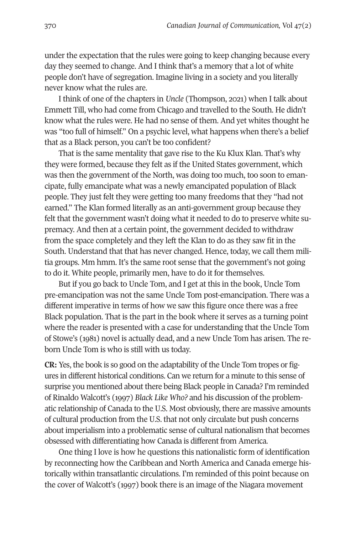under the expectation that the rules were going to keep changing because every day they seemed to change. And I think that's a memory that a lot of white people don't have of segregation. Imagine living in a society and you literally never know what the rules are.

I think of one of the chapters in *Uncle* (Thompson, 2021) when I talk about Emmett Till, who had come from Chicago and travelled to the South. He didn't know what the rules were. He had no sense of them. And yet whites thought he was "too full of himself." On a psychic level, what happens when there's a belief that as a Black person, you can't be too confident?

That is the same mentality that gave rise to the Ku Klux Klan. That's why they were formed, because they felt as if the United States government, which was then the government of the North, was doing too much, too soon to emancipate, fully emancipate what was a newly emancipated population of Black people. They just felt they were getting too many freedoms that they "had not earned." The Klan formed literally as an anti-government group because they felt that the government wasn't doing what it needed to do to preserve white supremacy. And then at a certain point, the government decided to withdraw from the space completely and they left the Klan to do as they saw fit in the South. Understand that that has never changed. Hence, today, we call them militia groups. Mm hmm. It's the same root sense that the government's not going to do it. White people, primarily men, have to do it for themselves.

But if you go back to Uncle Tom, and I get at this in the book, Uncle Tom pre-emancipation was not the same Uncle Tom post-emancipation. There was a different imperative in terms of how we saw this figure once there was a free Black population. That is the part in the book where it serves as a turning point where the reader is presented with a case for understanding that the Uncle Tom of Stowe's (1981) novel is actually dead, and a new Uncle Tom has arisen. The reborn Uncle Tom is who is still with us today.

**CR:** Yes, the book is so good on the adaptability of the Uncle Tom tropes or figures in different historical conditions. Can we return for a minute to this sense of surprise you mentioned about there being Black people in Canada? I'm reminded of Rinaldo Walcott's (1997) *Black Like Who?* and his discussion of the problematic relationship of Canada to the U.S. Most obviously, there are massive amounts of cultural production from the U.S. that not only circulate but push concerns about imperialism into a problematic sense of cultural nationalism that becomes obsessed with differentiating how Canada is different from America.

One thing I love is how he questions this nationalistic form of identification by reconnecting how the Caribbean and North America and Canada emerge historically within transatlantic circulations. I'm reminded of this point because on the cover of Walcott's (1997) book there is an image of the Niagara movement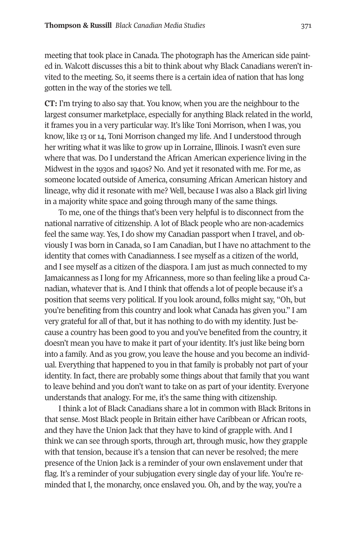meeting that took place in Canada. The photograph has the American side painted in. Walcott discusses this a bit to think about why Black Canadians weren't invited to the meeting. So, it seems there is a certain idea of nation that has long gotten in the way of the stories we tell.

**CT:** I'm trying to also say that. You know, when you are the neighbour to the largest consumer marketplace, especially for anything Black related in the world, it frames you in a very particular way. It's like Toni Morrison, when I was, you know, like 13 or 14, Toni Morrison changed my life. And I understood through her writing what it was like to grow up in Lorraine, Illinois. I wasn't even sure where that was. Do I understand the African American experience living in the Midwest in the 1930s and 1940s? No. And yet it resonated with me. For me, as someone located outside of America, consuming African American history and lineage, why did it resonate with me? Well, because I was also a Black girl living in a majority white space and going through many of the same things.

To me, one of the things that's been very helpful is to disconnect from the national narrative of citizenship. A lot of Black people who are non-academics feel the same way. Yes, I do show my Canadian passport when I travel, and obviously I was born in Canada, so I am Canadian, but I have no attachment to the identity that comes with Canadianness. I see myself as a citizen of the world, and I see myself as a citizen of the diaspora. I am just as much connected to my Jamaicanness as I long for my Africanness, more so than feeling like a proud Canadian, whatever that is. And I think that offends a lot of people because it's a position that seems very political. If you look around, folks might say, "Oh, but you're benefiting from this country and look what Canada has given you." I am very grateful for all of that, but it has nothing to do with my identity. Just because a country has been good to you and you've benefited from the country, it doesn't mean you have to make it part of your identity. It's just like being born into a family. And as you grow, you leave the house and you become an individual. Everything that happened to you in that family is probably not part of your identity. In fact, there are probably some things about that family that you want to leave behind and you don't want to take on as part of your identity. Everyone understands that analogy. For me, it's the same thing with citizenship.

I think a lot of Black Canadians share a lot in common with Black Britons in that sense. Most Black people in Britain either have Caribbean or African roots, and they have the Union Jack that they have to kind of grapple with. And I think we can see through sports, through art, through music, how they grapple with that tension, because it's a tension that can never be resolved; the mere presence of the Union Jack is a reminder of your own enslavement under that flag. It's a reminder of your subjugation every single day of your life. You're reminded that I, the monarchy, once enslaved you. Oh, and by the way, you're a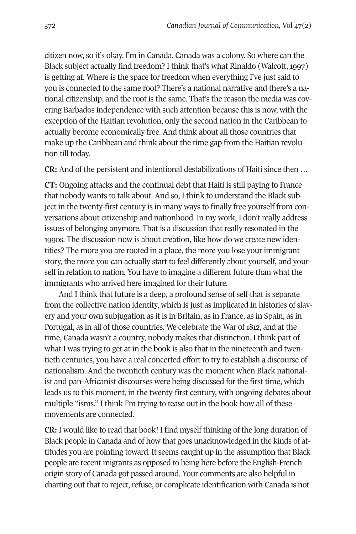citizen now, so it's okay. I'm in Canada. Canada was a colony. So where can the Black subject actually find freedom? I think that's what Rinaldo (Walcott, 1997) is getting at. Where is the space for freedom when everything I've just said to you is connected to the same root? There's a national narrative and there's a national citizenship, and the root is the same. That's the reason the media was covering Barbados independence with such attention because this is now, with the exception of the Haitian revolution, only the second nation in the Caribbean to actually become economically free. And think about all those countries that make up the Caribbean and think about the time gap from the Haitian revolution till today.

**CR:** And of the persistent and intentional destabilizations of Haiti since then …

**CT:** Ongoing attacks and the continual debt that Haiti is still paying to France that nobody wants to talk about. And so, I think to understand the Black subject in the twenty-first century is in many ways to finally free yourself from conversations about citizenship and nationhood. In my work, I don't really address issues of belonging anymore. That is a discussion that really resonated in the 1990s. The discussion now is about creation, like how do we create new identities? The more you are rooted in a place, the more you lose your immigrant story, the more you can actually start to feel differently about yourself, and yourself in relation to nation. You have to imagine a different future than what the immigrants who arrived here imagined for their future.

And I think that future is a deep, a profound sense of self that is separate from the collective nation identity, which is just as implicated in histories of slavery and your own subjugation as it is in Britain, as in France, as in Spain, as in Portugal, as in all of those countries. We celebrate the War of 1812, and at the time, Canada wasn't a country, nobody makes that distinction. I think part of what I was trying to get at in the book is also that in the nineteenth and twentieth centuries, you have a real concerted effort to try to establish a discourse of nationalism. And the twentieth century was the moment when Black nationalist and pan-Africanist discourses were being discussed for the first time, which leads us to this moment, in the twenty-first century, with ongoing debates about multiple "isms." I think I'm trying to tease out in the book how all of these movements are connected.

**CR:** I would like to read that book! I find myself thinking of the long duration of Black people in Canada and of how that goes unacknowledged in the kinds of attitudes you are pointing toward. It seems caught up in the assumption that Black people are recent migrants as opposed to being here before the English-French origin story of Canada got passed around. Your comments are also helpful in charting out that to reject, refuse, or complicate identification with Canada is not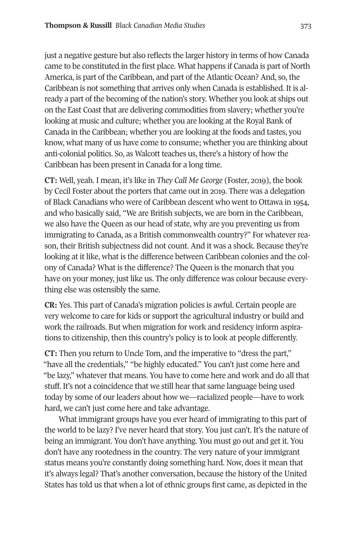just a negative gesture but also reflects the larger history in terms of how Canada came to be constituted in the first place. What happens if Canada is part of North America, is part of the Caribbean, and part of the Atlantic Ocean? And, so, the Caribbean is not something that arrives only when Canada is established. It is already a part of the becoming of the nation's story. Whether you look at ships out on the East Coast that are delivering commodities from slavery; whether you're looking at music and culture; whether you are looking at the Royal Bank of Canada in the Caribbean; whether you are looking at the foods and tastes, you know, what many of us have come to consume; whether you are thinking about anti-colonial politics. So, as Walcott teaches us, there's a history of how the Caribbean has been present in Canada for a long time.

**CT:** Well, yeah. I mean, it's like in *They Call Me George* (Foster, 2019), the book by Cecil Foster about the porters that came out in 2019. There was a delegation of Black Canadians who were of Caribbean descent who went to Ottawa in 1954, and who basically said, "We are British subjects, we are born in the Caribbean, we also have the Queen as our head of state, why are you preventing us from immigrating to Canada, as a British commonwealth country?" For whatever reason, their British subjectness did not count. And it was a shock. Because they're looking at it like, what is the difference between Caribbean colonies and the colony of Canada? What is the difference? The Queen is the monarch that you have on your money, just like us. The only difference was colour because everything else was ostensibly the same.

**CR:** Yes. This part of Canada's migration policies is awful. Certain people are very welcome to care for kids or support the agricultural industry or build and work the railroads. But when migration for work and residency inform aspirations to citizenship, then this country's policy is to look at people differently.

**CT:** Then you return to Uncle Tom, and the imperative to "dress the part," "have all the credentials," "be highly educated." You can't just come here and "be lazy," whatever that means. You have to come here and work and do all that stuff. It's not a coincidence that we still hear that same language being used today by some of our leaders about how we—racialized people—have to work hard, we can't just come here and take advantage.

What immigrant groups have you ever heard of immigrating to this part of the world to be lazy? I've never heard that story. You just can't. It's the nature of being an immigrant. You don't have anything. You must go out and get it. You don't have any rootedness in the country. The very nature of your immigrant status means you're constantly doing something hard. Now, does it mean that it's always legal? That's another conversation, because the history of the United States has told us that when a lot of ethnic groups first came, as depicted in the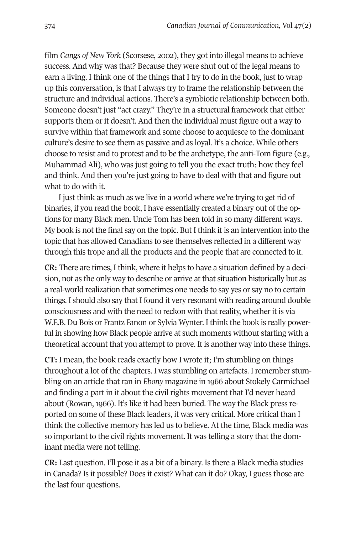film *Gangs of New York* (Scorsese, 2002), they got into illegal means to achieve success. And why was that? Because they were shut out of the legal means to earn a living. I think one of the things that I try to do in the book, just to wrap up this conversation, is that I always try to frame the relationship between the structure and individual actions. There's a symbiotic relationship between both. Someone doesn't just "act crazy." They're in a structural framework that either supports them or it doesn't. And then the individual must figure out a way to survive within that framework and some choose to acquiesce to the dominant culture's desire to see them as passive and as loyal. It's a choice. While others choose to resist and to protest and to be the archetype, the anti-Tom figure (e.g., Muhammad Ali), who was just going to tell you the exact truth: how they feel and think. And then you're just going to have to deal with that and figure out what to do with it.

I just think as much as we live in a world where we're trying to get rid of binaries, if you read the book, I have essentially created a binary out of the options for many Black men. Uncle Tom has been told in so many different ways. My book is not the final say on the topic. But I think it is an intervention into the topic that has allowed Canadians to see themselves reflected in a different way through this trope and all the products and the people that are connected to it.

**CR:** There are times, I think, where it helps to have a situation defined by a decision, not as the only way to describe or arrive at that situation historically but as a real-world realization that sometimes one needs to say yes or say no to certain things. I should also say that I found it very resonant with reading around double consciousness and with the need to reckon with that reality, whether it is via W.E.B. Du Bois or Frantz Fanon or Sylvia Wynter. I think the book is really powerful in showing how Black people arrive at such moments without starting with a theoretical account that you attempt to prove. It is another way into these things.

**CT:** I mean, the book reads exactly how I wrote it; I'm stumbling on things throughout a lot of the chapters. I was stumbling on artefacts. I remember stumbling on an article that ran in *Ebony* magazine in 1966 about Stokely Carmichael and finding a part in it about the civil rights movement that I'd never heard about (Rowan, 1966). It's like it had been buried. The way the Black press reported on some of these Black leaders, it was very critical. More critical than I think the collective memory has led us to believe. At the time, Black media was so important to the civil rights movement. It was telling a story that the dominant media were not telling.

**CR:** Last question. I'll pose it as a bit of a binary. Is there a Black media studies in Canada? Is it possible? Does it exist? What can it do? Okay, I guess those are the last four questions.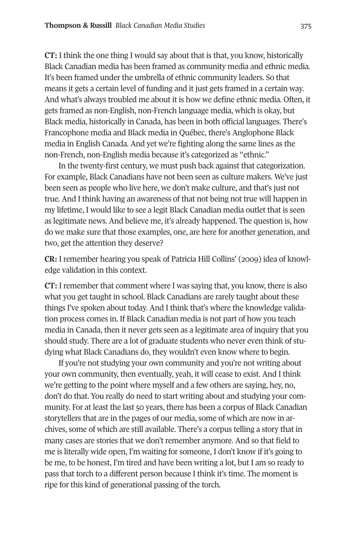**CT:** I think the one thing I would say about that is that, you know, historically Black Canadian media has been framed as community media and ethnic media. It's been framed under the umbrella of ethnic community leaders. So that means it gets a certain level of funding and it just gets framed in a certain way. And what's always troubled me about it is how we define ethnic media. Often, it gets framed as non-English, non-French language media, which is okay, but Black media, historically in Canada, has been in both official languages. There's Francophone media and Black media in Québec, there's Anglophone Black media in English Canada. And yet we're fighting along the same lines as the non-French, non-English media because it's categorized as "ethnic."

In the twenty-first century, we must push back against that categorization. For example, Black Canadians have not been seen as culture makers. We've just been seen as people who live here, we don't make culture, and that's just not true. And I think having an awareness of that not being not true will happen in my lifetime, I would like to see a legit Black Canadian media outlet that is seen as legitimate news. And believe me, it's already happened. The question is, how do we make sure that those examples, one, are here for another generation, and two, get the attention they deserve?

**CR:** I remember hearing you speak of Patricia Hill Collins' (2009) idea of knowledge validation in this context.

**CT:** I remember that comment where I was saying that, you know, there is also what you get taught in school. Black Canadians are rarely taught about these things I've spoken about today. And I think that's where the knowledge validation process comes in. If Black Canadian media is not part of how you teach media in Canada, then it never gets seen as a legitimate area of inquiry that you should study. There are a lot of graduate students who never even think of studying what Black Canadians do, they wouldn't even know where to begin.

If you're not studying your own community and you're not writing about your own community, then eventually, yeah, it will cease to exist. And I think we're getting to the point where myself and a few others are saying, hey, no, don't do that. You really do need to start writing about and studying your community. For at least the last 50 years, there has been a corpus of Black Canadian storytellers that are in the pages of our media, some of which are now in archives, some of which are still available. There's a corpus telling a story that in many cases are stories that we don't remember anymore. And so that field to me is literally wide open, I'm waiting for someone, I don't know if it's going to be me, to be honest, I'm tired and have been writing a lot, but I am so ready to pass that torch to a different person because I think it's time. The moment is ripe for this kind of generational passing of the torch.